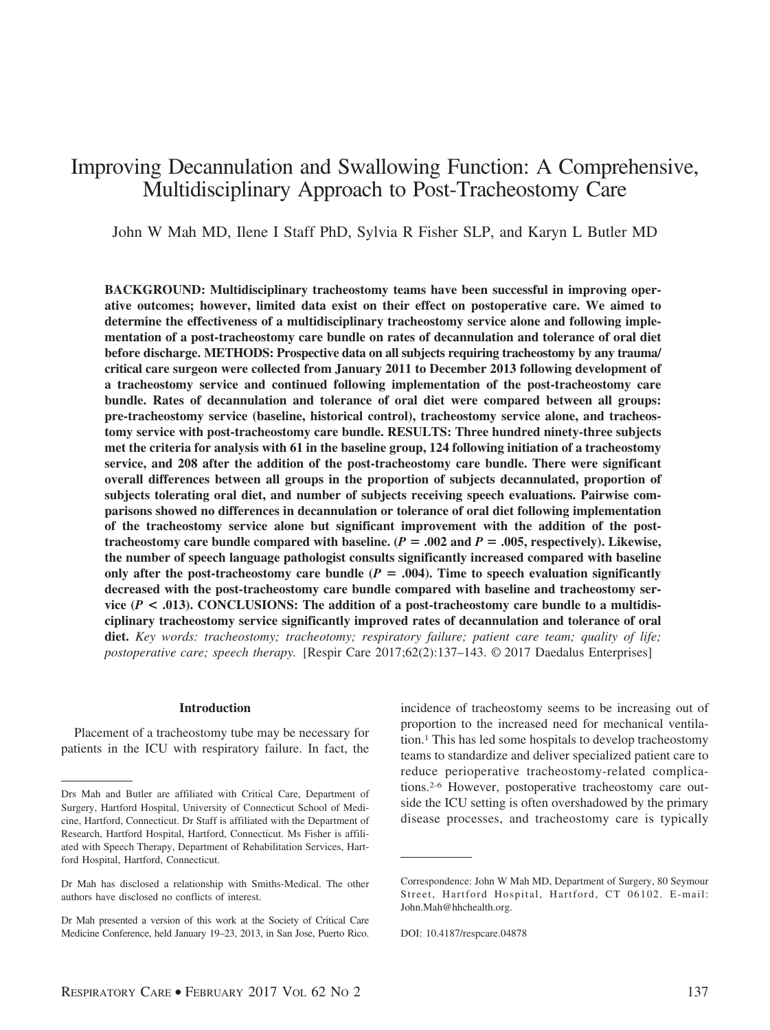# Improving Decannulation and Swallowing Function: A Comprehensive, Multidisciplinary Approach to Post-Tracheostomy Care

John W Mah MD, Ilene I Staff PhD, Sylvia R Fisher SLP, and Karyn L Butler MD

**BACKGROUND: Multidisciplinary tracheostomy teams have been successful in improving operative outcomes; however, limited data exist on their effect on postoperative care. We aimed to determine the effectiveness of a multidisciplinary tracheostomy service alone and following implementation of a post-tracheostomy care bundle on rates of decannulation and tolerance of oral diet before discharge. METHODS: Prospective data on all subjects requiring tracheostomy by any trauma/ critical care surgeon were collected from January 2011 to December 2013 following development of a tracheostomy service and continued following implementation of the post-tracheostomy care bundle. Rates of decannulation and tolerance of oral diet were compared between all groups: pre-tracheostomy service (baseline, historical control), tracheostomy service alone, and tracheostomy service with post-tracheostomy care bundle. RESULTS: Three hundred ninety-three subjects met the criteria for analysis with 61 in the baseline group, 124 following initiation of a tracheostomy service, and 208 after the addition of the post-tracheostomy care bundle. There were significant overall differences between all groups in the proportion of subjects decannulated, proportion of subjects tolerating oral diet, and number of subjects receiving speech evaluations. Pairwise comparisons showed no differences in decannulation or tolerance of oral diet following implementation of the tracheostomy service alone but significant improvement with the addition of the post**tracheostomy care bundle compared with baseline.  $(P = .002$  and  $P = .005$ , respectively). Likewise, **the number of speech language pathologist consults significantly increased compared with baseline** only after the post-tracheostomy care bundle  $(P = .004)$ . Time to speech evaluation significantly **decreased with the post-tracheostomy care bundle compared with baseline and tracheostomy ser**vice  $(P < .013)$ . CONCLUSIONS: The addition of a post-tracheostomy care bundle to a multidis**ciplinary tracheostomy service significantly improved rates of decannulation and tolerance of oral diet.** *Key words: tracheostomy; tracheotomy; respiratory failure; patient care team; quality of life; postoperative care; speech therapy.* [Respir Care 2017;62(2):137-143. © 2017 Daedalus Enterprises]

#### **Introduction**

Placement of a tracheostomy tube may be necessary for patients in the ICU with respiratory failure. In fact, the incidence of tracheostomy seems to be increasing out of proportion to the increased need for mechanical ventilation.1 This has led some hospitals to develop tracheostomy teams to standardize and deliver specialized patient care to reduce perioperative tracheostomy-related complications.2-6 However, postoperative tracheostomy care outside the ICU setting is often overshadowed by the primary disease processes, and tracheostomy care is typically

Drs Mah and Butler are affiliated with Critical Care, Department of Surgery, Hartford Hospital, University of Connecticut School of Medicine, Hartford, Connecticut. Dr Staff is affiliated with the Department of Research, Hartford Hospital, Hartford, Connecticut. Ms Fisher is affiliated with Speech Therapy, Department of Rehabilitation Services, Hartford Hospital, Hartford, Connecticut.

Dr Mah has disclosed a relationship with Smiths-Medical. The other authors have disclosed no conflicts of interest.

Dr Mah presented a version of this work at the Society of Critical Care Medicine Conference, held January 19–23, 2013, in San Jose, Puerto Rico.

Correspondence: John W Mah MD, Department of Surgery, 80 Seymour Street, Hartford Hospital, Hartford, CT 06102. E-mail: John.Mah@hhchealth.org.

DOI: 10.4187/respcare.04878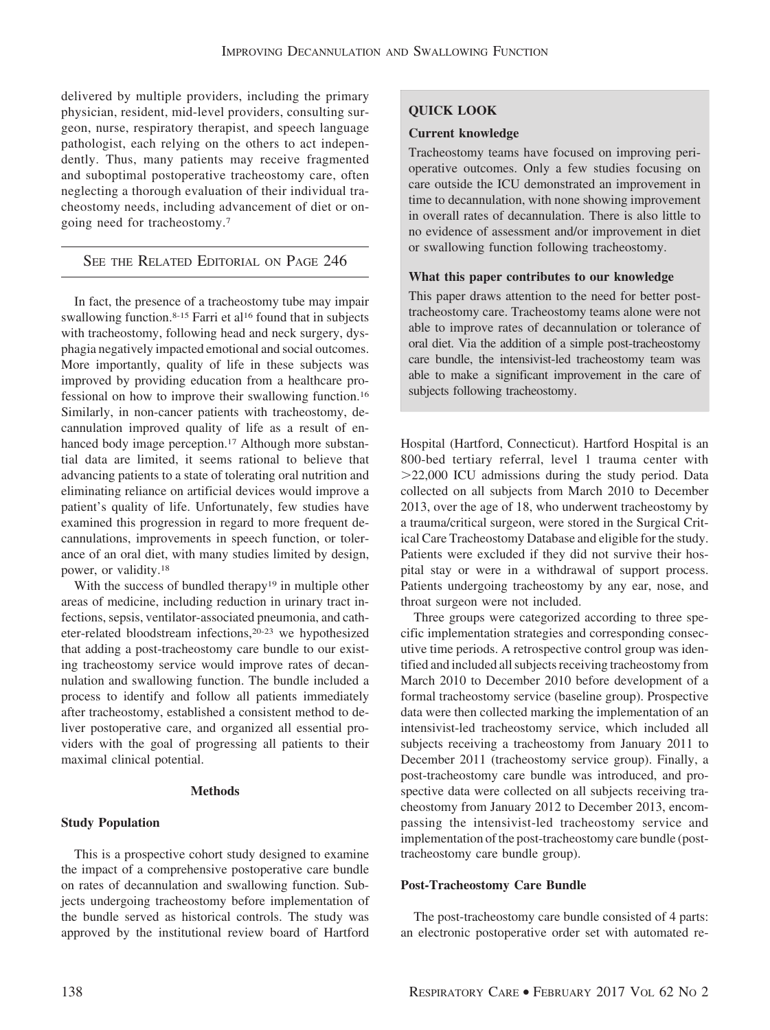delivered by multiple providers, including the primary physician, resident, mid-level providers, consulting surgeon, nurse, respiratory therapist, and speech language pathologist, each relying on the others to act independently. Thus, many patients may receive fragmented and suboptimal postoperative tracheostomy care, often neglecting a thorough evaluation of their individual tracheostomy needs, including advancement of diet or ongoing need for tracheostomy.7

SEE THE RELATED EDITORIAL ON PAGE 246

In fact, the presence of a tracheostomy tube may impair swallowing function.<sup>8-15</sup> Farri et al<sup>16</sup> found that in subjects with tracheostomy, following head and neck surgery, dysphagia negatively impacted emotional and social outcomes. More importantly, quality of life in these subjects was improved by providing education from a healthcare professional on how to improve their swallowing function.16 Similarly, in non-cancer patients with tracheostomy, decannulation improved quality of life as a result of enhanced body image perception.<sup>17</sup> Although more substantial data are limited, it seems rational to believe that advancing patients to a state of tolerating oral nutrition and eliminating reliance on artificial devices would improve a patient's quality of life. Unfortunately, few studies have examined this progression in regard to more frequent decannulations, improvements in speech function, or tolerance of an oral diet, with many studies limited by design, power, or validity.18

With the success of bundled therapy<sup>19</sup> in multiple other areas of medicine, including reduction in urinary tract infections, sepsis, ventilator-associated pneumonia, and catheter-related bloodstream infections,20-23 we hypothesized that adding a post-tracheostomy care bundle to our existing tracheostomy service would improve rates of decannulation and swallowing function. The bundle included a process to identify and follow all patients immediately after tracheostomy, established a consistent method to deliver postoperative care, and organized all essential providers with the goal of progressing all patients to their maximal clinical potential.

## **Methods**

## **Study Population**

This is a prospective cohort study designed to examine the impact of a comprehensive postoperative care bundle on rates of decannulation and swallowing function. Subjects undergoing tracheostomy before implementation of the bundle served as historical controls. The study was approved by the institutional review board of Hartford

# **QUICK LOOK**

## **Current knowledge**

Tracheostomy teams have focused on improving perioperative outcomes. Only a few studies focusing on care outside the ICU demonstrated an improvement in time to decannulation, with none showing improvement in overall rates of decannulation. There is also little to no evidence of assessment and/or improvement in diet or swallowing function following tracheostomy.

## **What this paper contributes to our knowledge**

This paper draws attention to the need for better posttracheostomy care. Tracheostomy teams alone were not able to improve rates of decannulation or tolerance of oral diet. Via the addition of a simple post-tracheostomy care bundle, the intensivist-led tracheostomy team was able to make a significant improvement in the care of subjects following tracheostomy.

Hospital (Hartford, Connecticut). Hartford Hospital is an 800-bed tertiary referral, level 1 trauma center with -22,000 ICU admissions during the study period. Data collected on all subjects from March 2010 to December 2013, over the age of 18, who underwent tracheostomy by a trauma/critical surgeon, were stored in the Surgical Critical Care Tracheostomy Database and eligible for the study. Patients were excluded if they did not survive their hospital stay or were in a withdrawal of support process. Patients undergoing tracheostomy by any ear, nose, and throat surgeon were not included.

Three groups were categorized according to three specific implementation strategies and corresponding consecutive time periods. A retrospective control group was identified and included all subjects receiving tracheostomy from March 2010 to December 2010 before development of a formal tracheostomy service (baseline group). Prospective data were then collected marking the implementation of an intensivist-led tracheostomy service, which included all subjects receiving a tracheostomy from January 2011 to December 2011 (tracheostomy service group). Finally, a post-tracheostomy care bundle was introduced, and prospective data were collected on all subjects receiving tracheostomy from January 2012 to December 2013, encompassing the intensivist-led tracheostomy service and implementation of the post-tracheostomy care bundle (posttracheostomy care bundle group).

## **Post-Tracheostomy Care Bundle**

The post-tracheostomy care bundle consisted of 4 parts: an electronic postoperative order set with automated re-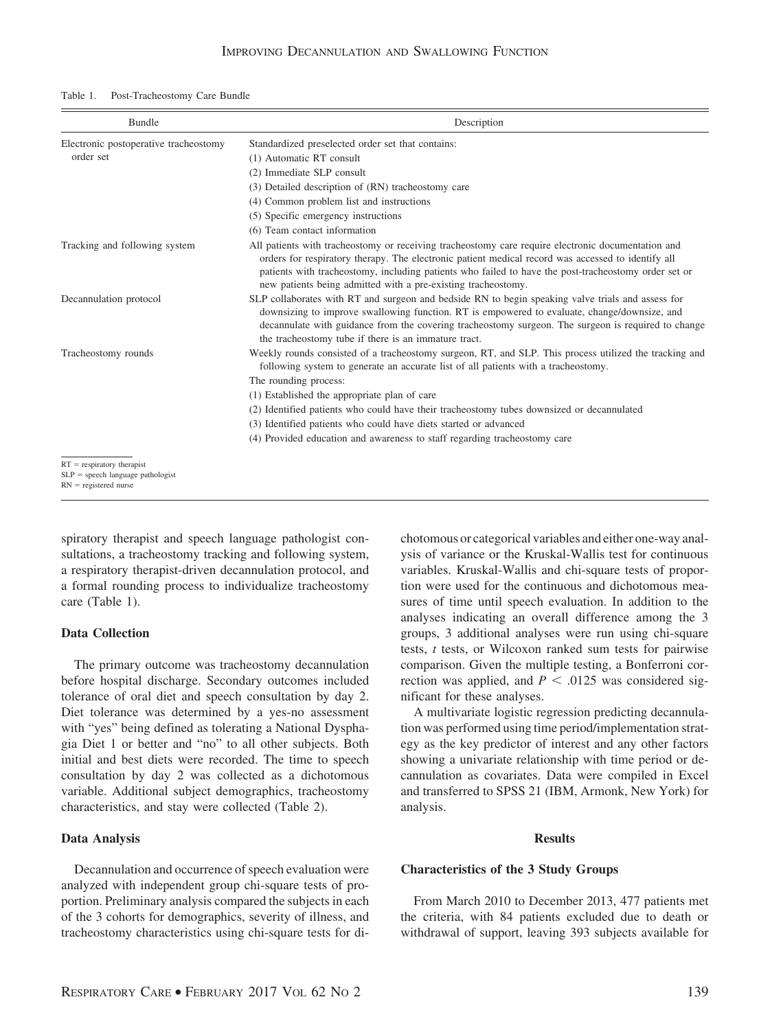#### Table 1. Post-Tracheostomy Care Bundle

| Bundle                                                                                         | Description                                                                                                                                                                                                                                                                                                                                                                       |  |  |
|------------------------------------------------------------------------------------------------|-----------------------------------------------------------------------------------------------------------------------------------------------------------------------------------------------------------------------------------------------------------------------------------------------------------------------------------------------------------------------------------|--|--|
| Electronic postoperative tracheostomy                                                          | Standardized preselected order set that contains:                                                                                                                                                                                                                                                                                                                                 |  |  |
| order set                                                                                      | (1) Automatic RT consult                                                                                                                                                                                                                                                                                                                                                          |  |  |
|                                                                                                | (2) Immediate SLP consult                                                                                                                                                                                                                                                                                                                                                         |  |  |
|                                                                                                | (3) Detailed description of (RN) tracheostomy care                                                                                                                                                                                                                                                                                                                                |  |  |
|                                                                                                | (4) Common problem list and instructions                                                                                                                                                                                                                                                                                                                                          |  |  |
|                                                                                                | (5) Specific emergency instructions                                                                                                                                                                                                                                                                                                                                               |  |  |
|                                                                                                | (6) Team contact information                                                                                                                                                                                                                                                                                                                                                      |  |  |
| Tracking and following system                                                                  | All patients with tracheostomy or receiving tracheostomy care require electronic documentation and<br>orders for respiratory therapy. The electronic patient medical record was accessed to identify all<br>patients with tracheostomy, including patients who failed to have the post-tracheostomy order set or<br>new patients being admitted with a pre-existing tracheostomy. |  |  |
| Decannulation protocol                                                                         | SLP collaborates with RT and surgeon and bedside RN to begin speaking valve trials and assess for<br>downsizing to improve swallowing function. RT is empowered to evaluate, change/downsize, and<br>decannulate with guidance from the covering tracheostomy surgeon. The surgeon is required to change<br>the tracheostomy tube if there is an immature tract.                  |  |  |
| Tracheostomy rounds                                                                            | Weekly rounds consisted of a tracheostomy surgeon, RT, and SLP. This process utilized the tracking and<br>following system to generate an accurate list of all patients with a tracheostomy.                                                                                                                                                                                      |  |  |
|                                                                                                | The rounding process:                                                                                                                                                                                                                                                                                                                                                             |  |  |
|                                                                                                | (1) Established the appropriate plan of care                                                                                                                                                                                                                                                                                                                                      |  |  |
|                                                                                                | (2) Identified patients who could have their tracheostomy tubes downsized or decannulated                                                                                                                                                                                                                                                                                         |  |  |
|                                                                                                | (3) Identified patients who could have diets started or advanced                                                                                                                                                                                                                                                                                                                  |  |  |
|                                                                                                | (4) Provided education and awareness to staff regarding tracheostomy care                                                                                                                                                                                                                                                                                                         |  |  |
| $RT$ = respiratory therapist<br>$SLP$ = speech language pathologist<br>$RN =$ registered nurse |                                                                                                                                                                                                                                                                                                                                                                                   |  |  |

spiratory therapist and speech language pathologist consultations, a tracheostomy tracking and following system, a respiratory therapist-driven decannulation protocol, and a formal rounding process to individualize tracheostomy

#### **Data Collection**

care (Table 1).

The primary outcome was tracheostomy decannulation before hospital discharge. Secondary outcomes included tolerance of oral diet and speech consultation by day 2. Diet tolerance was determined by a yes-no assessment with "yes" being defined as tolerating a National Dysphagia Diet 1 or better and "no" to all other subjects. Both initial and best diets were recorded. The time to speech consultation by day 2 was collected as a dichotomous variable. Additional subject demographics, tracheostomy characteristics, and stay were collected (Table 2).

## **Data Analysis**

Decannulation and occurrence of speech evaluation were analyzed with independent group chi-square tests of proportion. Preliminary analysis compared the subjects in each of the 3 cohorts for demographics, severity of illness, and tracheostomy characteristics using chi-square tests for dichotomous or categorical variables and either one-way analysis of variance or the Kruskal-Wallis test for continuous variables. Kruskal-Wallis and chi-square tests of proportion were used for the continuous and dichotomous measures of time until speech evaluation. In addition to the analyses indicating an overall difference among the 3 groups, 3 additional analyses were run using chi-square tests, *t* tests, or Wilcoxon ranked sum tests for pairwise comparison. Given the multiple testing, a Bonferroni correction was applied, and  $P < .0125$  was considered significant for these analyses.

A multivariate logistic regression predicting decannulation was performed using time period/implementation strategy as the key predictor of interest and any other factors showing a univariate relationship with time period or decannulation as covariates. Data were compiled in Excel and transferred to SPSS 21 (IBM, Armonk, New York) for analysis.

#### **Results**

#### **Characteristics of the 3 Study Groups**

From March 2010 to December 2013, 477 patients met the criteria, with 84 patients excluded due to death or withdrawal of support, leaving 393 subjects available for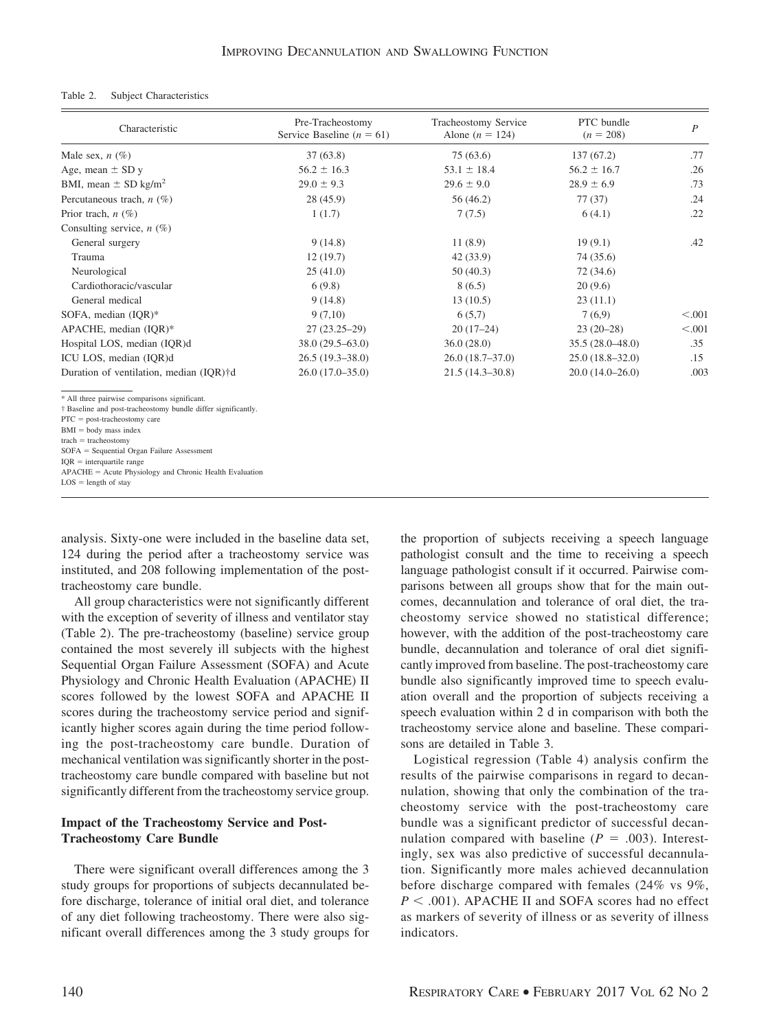#### Table 2. Subject Characteristics

| Characteristic                                                                                                                                                                                                                                                                                                                                                                                | Pre-Tracheostomy<br>Service Baseline ( $n = 61$ ) | <b>Tracheostomy Service</b><br>Alone $(n = 124)$ | PTC bundle<br>$(n = 208)$ | $\boldsymbol{P}$ |
|-----------------------------------------------------------------------------------------------------------------------------------------------------------------------------------------------------------------------------------------------------------------------------------------------------------------------------------------------------------------------------------------------|---------------------------------------------------|--------------------------------------------------|---------------------------|------------------|
| Male sex, $n$ (%)                                                                                                                                                                                                                                                                                                                                                                             | 37(63.8)                                          | 75(63.6)                                         | 137(67.2)                 | .77              |
| Age, mean $\pm$ SD y                                                                                                                                                                                                                                                                                                                                                                          | $56.2 \pm 16.3$                                   | $53.1 \pm 18.4$                                  | $56.2 \pm 16.7$           | .26              |
| BMI, mean $\pm$ SD kg/m <sup>2</sup>                                                                                                                                                                                                                                                                                                                                                          | $29.0 \pm 9.3$                                    | $29.6 \pm 9.0$                                   | $28.9 \pm 6.9$            | .73              |
| Percutaneous trach, $n$ (%)                                                                                                                                                                                                                                                                                                                                                                   | 28 (45.9)                                         | 56(46.2)                                         | 77(37)                    | .24              |
| Prior trach, $n$ (%)                                                                                                                                                                                                                                                                                                                                                                          | 1(1.7)                                            | 7(7.5)                                           | 6(4.1)                    | .22              |
| Consulting service, $n$ (%)                                                                                                                                                                                                                                                                                                                                                                   |                                                   |                                                  |                           |                  |
| General surgery                                                                                                                                                                                                                                                                                                                                                                               | 9(14.8)                                           | 11(8.9)                                          | 19(9.1)                   | .42              |
| Trauma                                                                                                                                                                                                                                                                                                                                                                                        | 12(19.7)                                          | 42 (33.9)                                        | 74 (35.6)                 |                  |
| Neurological                                                                                                                                                                                                                                                                                                                                                                                  | 25(41.0)                                          | 50(40.3)                                         | 72 (34.6)                 |                  |
| Cardiothoracic/vascular                                                                                                                                                                                                                                                                                                                                                                       | 6(9.8)                                            | 8(6.5)                                           | 20(9.6)                   |                  |
| General medical                                                                                                                                                                                                                                                                                                                                                                               | 9(14.8)                                           | 13(10.5)                                         | 23(11.1)                  |                  |
| SOFA, median $(IQR)*$                                                                                                                                                                                                                                                                                                                                                                         | 9(7,10)                                           | 6(5,7)                                           | 7(6,9)                    | < 0.001          |
| APACHE, median (IOR)*                                                                                                                                                                                                                                                                                                                                                                         | $27(23.25-29)$                                    | $20(17-24)$                                      | $23(20-28)$               | < 0.001          |
| Hospital LOS, median (IQR)d                                                                                                                                                                                                                                                                                                                                                                   | $38.0(29.5 - 63.0)$                               | 36.0(28.0)                                       | $35.5(28.0 - 48.0)$       | .35              |
| ICU LOS, median (IQR)d                                                                                                                                                                                                                                                                                                                                                                        | $26.5(19.3 - 38.0)$                               | $26.0(18.7-37.0)$                                | $25.0(18.8 - 32.0)$       | .15              |
| Duration of ventilation, median (IQR)†d                                                                                                                                                                                                                                                                                                                                                       | $26.0(17.0-35.0)$                                 | $21.5(14.3 - 30.8)$                              | $20.0(14.0-26.0)$         | .003             |
| * All three pairwise comparisons significant.<br><sup>†</sup> Baseline and post-tracheostomy bundle differ significantly.<br>$PTC = post-tracheostomy care$<br>$BMI = body$ mass index<br>$\text{track} = \text{traches}$<br>$SOFA = Sequential Organ Failure Assessment$<br>$IQR = interquartile range$<br>APACHE = Acute Physiology and Chronic Health Evaluation<br>$LOS = length of stay$ |                                                   |                                                  |                           |                  |

analysis. Sixty-one were included in the baseline data set, 124 during the period after a tracheostomy service was instituted, and 208 following implementation of the posttracheostomy care bundle.

All group characteristics were not significantly different with the exception of severity of illness and ventilator stay (Table 2). The pre-tracheostomy (baseline) service group contained the most severely ill subjects with the highest Sequential Organ Failure Assessment (SOFA) and Acute Physiology and Chronic Health Evaluation (APACHE) II scores followed by the lowest SOFA and APACHE II scores during the tracheostomy service period and significantly higher scores again during the time period following the post-tracheostomy care bundle. Duration of mechanical ventilation was significantly shorter in the posttracheostomy care bundle compared with baseline but not significantly different from the tracheostomy service group.

## **Impact of the Tracheostomy Service and Post-Tracheostomy Care Bundle**

There were significant overall differences among the 3 study groups for proportions of subjects decannulated before discharge, tolerance of initial oral diet, and tolerance of any diet following tracheostomy. There were also significant overall differences among the 3 study groups for the proportion of subjects receiving a speech language pathologist consult and the time to receiving a speech language pathologist consult if it occurred. Pairwise comparisons between all groups show that for the main outcomes, decannulation and tolerance of oral diet, the tracheostomy service showed no statistical difference; however, with the addition of the post-tracheostomy care bundle, decannulation and tolerance of oral diet significantly improved from baseline. The post-tracheostomy care bundle also significantly improved time to speech evaluation overall and the proportion of subjects receiving a speech evaluation within 2 d in comparison with both the tracheostomy service alone and baseline. These comparisons are detailed in Table 3.

Logistical regression (Table 4) analysis confirm the results of the pairwise comparisons in regard to decannulation, showing that only the combination of the tracheostomy service with the post-tracheostomy care bundle was a significant predictor of successful decannulation compared with baseline ( $P = .003$ ). Interestingly, sex was also predictive of successful decannulation. Significantly more males achieved decannulation before discharge compared with females (24% vs 9%,  $P < .001$ ). APACHE II and SOFA scores had no effect as markers of severity of illness or as severity of illness indicators.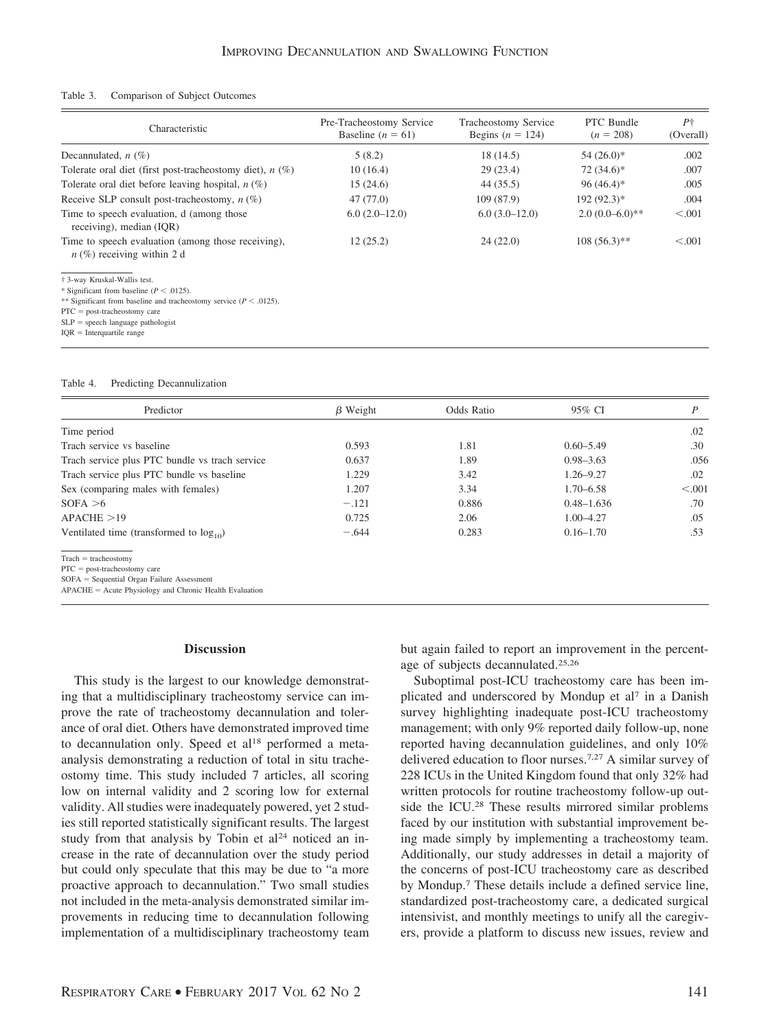#### Table 3. Comparison of Subject Outcomes

| Characteristic                                                                                                                                                                                                                                               | Pre-Tracheostomy Service<br>Baseline $(n = 61)$ | <b>Tracheostomy Service</b><br>Begins $(n = 124)$ | PTC Bundle<br>$(n = 208)$ | $P+$<br>(Overall) |
|--------------------------------------------------------------------------------------------------------------------------------------------------------------------------------------------------------------------------------------------------------------|-------------------------------------------------|---------------------------------------------------|---------------------------|-------------------|
| Decannulated, $n$ (%)                                                                                                                                                                                                                                        | 5(8.2)                                          | 18(14.5)                                          | $54(26.0)*$               | .002              |
| Tolerate oral diet (first post-tracheostomy diet), $n$ (%)                                                                                                                                                                                                   | 10(16.4)                                        | 29(23.4)                                          | $72(34.6)^*$              | .007              |
| Tolerate oral diet before leaving hospital, $n(\%)$                                                                                                                                                                                                          | 15(24.6)                                        | 44(35.5)                                          | $96(46.4)$ *              | .005              |
| Receive SLP consult post-tracheostomy, $n$ (%)                                                                                                                                                                                                               | 47 (77.0)                                       | 109(87.9)                                         | $192(92.3)*$              | .004              |
| Time to speech evaluation, d (among those)<br>receiving), median (IQR)                                                                                                                                                                                       | $6.0(2.0-12.0)$                                 | $6.0(3.0-12.0)$                                   | $2.0(0.0-6.0)$ **         | < 0.001           |
| Time to speech evaluation (among those receiving),<br>$n$ (%) receiving within 2 d                                                                                                                                                                           | 12(25.2)                                        | 24(22.0)                                          | $108(56.3)$ **            | < 0.001           |
| † 3-way Kruskal-Wallis test.<br>* Significant from baseline ( $P < .0125$ ).<br>** Significant from baseline and tracheostomy service ( $P < .0125$ ).<br>$PTC = post-trachesing care$<br>$SLP$ = speech language pathologist<br>$IQR = Interquartile range$ |                                                 |                                                   |                           |                   |

#### Table 4. Predicting Decannulization

| Predictor                                                                                                                                                                       | $\beta$ Weight | Odds Ratio | 95% CI         | P       |
|---------------------------------------------------------------------------------------------------------------------------------------------------------------------------------|----------------|------------|----------------|---------|
| Time period                                                                                                                                                                     |                |            |                | $.02\,$ |
| Trach service vs baseline                                                                                                                                                       | 0.593          | 1.81       | $0.60 - 5.49$  | .30     |
| Trach service plus PTC bundle vs trach service                                                                                                                                  | 0.637          | 1.89       | $0.98 - 3.63$  | .056    |
| Trach service plus PTC bundle vs baseline                                                                                                                                       | 1.229          | 3.42       | $1.26 - 9.27$  | $.02\,$ |
| Sex (comparing males with females)                                                                                                                                              | 1.207          | 3.34       | $1.70 - 6.58$  | < 0.001 |
| SOFA > 6                                                                                                                                                                        | $-.121$        | 0.886      | $0.48 - 1.636$ | .70     |
| APACHE > 19                                                                                                                                                                     | 0.725          | 2.06       | $1.00 - 4.27$  | .05     |
| Ventilated time (transformed to $log_{10}$ )                                                                                                                                    | $-.644$        | 0.283      | $0.16 - 1.70$  | .53     |
| $\text{Trach} = \text{traches}$<br>$PTC = post-traches to my care$<br>$SOFA = Sequential Organ Failure Assessment$<br>$APACHE = Acute Physiology and Chronic Health Evaluation$ |                |            |                |         |

#### **Discussion**

This study is the largest to our knowledge demonstrating that a multidisciplinary tracheostomy service can improve the rate of tracheostomy decannulation and tolerance of oral diet. Others have demonstrated improved time to decannulation only. Speed et al<sup>18</sup> performed a metaanalysis demonstrating a reduction of total in situ tracheostomy time. This study included 7 articles, all scoring low on internal validity and 2 scoring low for external validity. All studies were inadequately powered, yet 2 studies still reported statistically significant results. The largest study from that analysis by Tobin et al<sup>24</sup> noticed an increase in the rate of decannulation over the study period but could only speculate that this may be due to "a more proactive approach to decannulation." Two small studies not included in the meta-analysis demonstrated similar improvements in reducing time to decannulation following implementation of a multidisciplinary tracheostomy team but again failed to report an improvement in the percentage of subjects decannulated.25,26

Suboptimal post-ICU tracheostomy care has been implicated and underscored by Mondup et al7 in a Danish survey highlighting inadequate post-ICU tracheostomy management; with only 9% reported daily follow-up, none reported having decannulation guidelines, and only 10% delivered education to floor nurses.7,27 A similar survey of 228 ICUs in the United Kingdom found that only 32% had written protocols for routine tracheostomy follow-up outside the ICU.28 These results mirrored similar problems faced by our institution with substantial improvement being made simply by implementing a tracheostomy team. Additionally, our study addresses in detail a majority of the concerns of post-ICU tracheostomy care as described by Mondup.7 These details include a defined service line, standardized post-tracheostomy care, a dedicated surgical intensivist, and monthly meetings to unify all the caregivers, provide a platform to discuss new issues, review and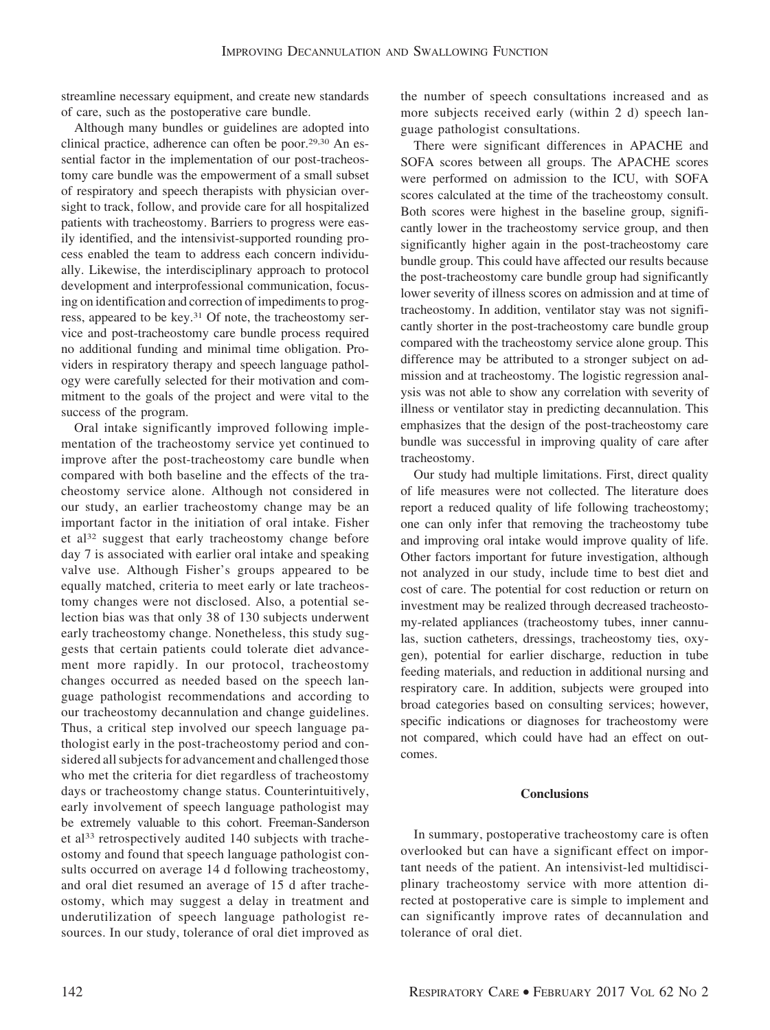streamline necessary equipment, and create new standards of care, such as the postoperative care bundle.

Although many bundles or guidelines are adopted into clinical practice, adherence can often be poor.29,30 An essential factor in the implementation of our post-tracheostomy care bundle was the empowerment of a small subset of respiratory and speech therapists with physician oversight to track, follow, and provide care for all hospitalized patients with tracheostomy. Barriers to progress were easily identified, and the intensivist-supported rounding process enabled the team to address each concern individually. Likewise, the interdisciplinary approach to protocol development and interprofessional communication, focusing on identification and correction of impediments to progress, appeared to be key.31 Of note, the tracheostomy service and post-tracheostomy care bundle process required no additional funding and minimal time obligation. Providers in respiratory therapy and speech language pathology were carefully selected for their motivation and commitment to the goals of the project and were vital to the success of the program.

Oral intake significantly improved following implementation of the tracheostomy service yet continued to improve after the post-tracheostomy care bundle when compared with both baseline and the effects of the tracheostomy service alone. Although not considered in our study, an earlier tracheostomy change may be an important factor in the initiation of oral intake. Fisher et al<sup>32</sup> suggest that early tracheostomy change before day 7 is associated with earlier oral intake and speaking valve use. Although Fisher's groups appeared to be equally matched, criteria to meet early or late tracheostomy changes were not disclosed. Also, a potential selection bias was that only 38 of 130 subjects underwent early tracheostomy change. Nonetheless, this study suggests that certain patients could tolerate diet advancement more rapidly. In our protocol, tracheostomy changes occurred as needed based on the speech language pathologist recommendations and according to our tracheostomy decannulation and change guidelines. Thus, a critical step involved our speech language pathologist early in the post-tracheostomy period and considered all subjects for advancement and challenged those who met the criteria for diet regardless of tracheostomy days or tracheostomy change status. Counterintuitively, early involvement of speech language pathologist may be extremely valuable to this cohort. Freeman-Sanderson et al<sup>33</sup> retrospectively audited 140 subjects with tracheostomy and found that speech language pathologist consults occurred on average 14 d following tracheostomy, and oral diet resumed an average of 15 d after tracheostomy, which may suggest a delay in treatment and underutilization of speech language pathologist resources. In our study, tolerance of oral diet improved as

the number of speech consultations increased and as more subjects received early (within 2 d) speech language pathologist consultations.

There were significant differences in APACHE and SOFA scores between all groups. The APACHE scores were performed on admission to the ICU, with SOFA scores calculated at the time of the tracheostomy consult. Both scores were highest in the baseline group, significantly lower in the tracheostomy service group, and then significantly higher again in the post-tracheostomy care bundle group. This could have affected our results because the post-tracheostomy care bundle group had significantly lower severity of illness scores on admission and at time of tracheostomy. In addition, ventilator stay was not significantly shorter in the post-tracheostomy care bundle group compared with the tracheostomy service alone group. This difference may be attributed to a stronger subject on admission and at tracheostomy. The logistic regression analysis was not able to show any correlation with severity of illness or ventilator stay in predicting decannulation. This emphasizes that the design of the post-tracheostomy care bundle was successful in improving quality of care after tracheostomy.

Our study had multiple limitations. First, direct quality of life measures were not collected. The literature does report a reduced quality of life following tracheostomy; one can only infer that removing the tracheostomy tube and improving oral intake would improve quality of life. Other factors important for future investigation, although not analyzed in our study, include time to best diet and cost of care. The potential for cost reduction or return on investment may be realized through decreased tracheostomy-related appliances (tracheostomy tubes, inner cannulas, suction catheters, dressings, tracheostomy ties, oxygen), potential for earlier discharge, reduction in tube feeding materials, and reduction in additional nursing and respiratory care. In addition, subjects were grouped into broad categories based on consulting services; however, specific indications or diagnoses for tracheostomy were not compared, which could have had an effect on outcomes.

## **Conclusions**

In summary, postoperative tracheostomy care is often overlooked but can have a significant effect on important needs of the patient. An intensivist-led multidisciplinary tracheostomy service with more attention directed at postoperative care is simple to implement and can significantly improve rates of decannulation and tolerance of oral diet.